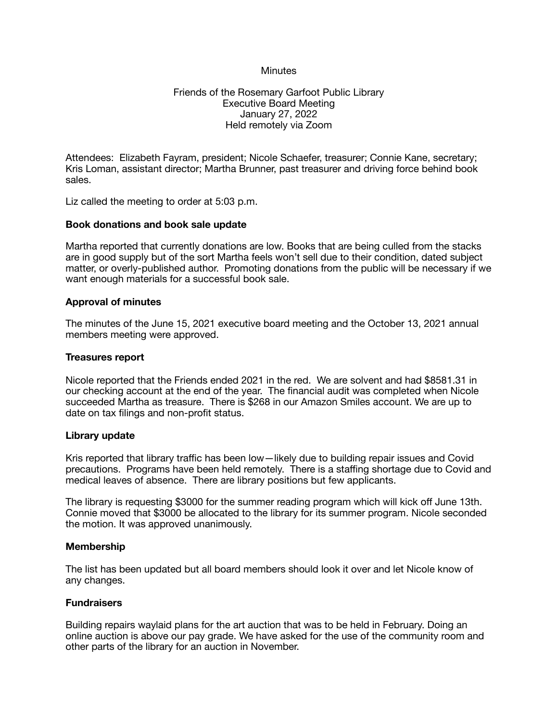## **Minutes**

## Friends of the Rosemary Garfoot Public Library Executive Board Meeting January 27, 2022 Held remotely via Zoom

Attendees: Elizabeth Fayram, president; Nicole Schaefer, treasurer; Connie Kane, secretary; Kris Loman, assistant director; Martha Brunner, past treasurer and driving force behind book sales.

Liz called the meeting to order at 5:03 p.m.

### **Book donations and book sale update**

Martha reported that currently donations are low. Books that are being culled from the stacks are in good supply but of the sort Martha feels won't sell due to their condition, dated subject matter, or overly-published author. Promoting donations from the public will be necessary if we want enough materials for a successful book sale.

#### **Approval of minutes**

The minutes of the June 15, 2021 executive board meeting and the October 13, 2021 annual members meeting were approved.

#### **Treasures report**

Nicole reported that the Friends ended 2021 in the red. We are solvent and had \$8581.31 in our checking account at the end of the year. The financial audit was completed when Nicole succeeded Martha as treasure. There is \$268 in our Amazon Smiles account. We are up to date on tax filings and non-profit status.

### **Library update**

Kris reported that library traffic has been low—likely due to building repair issues and Covid precautions. Programs have been held remotely. There is a staffing shortage due to Covid and medical leaves of absence. There are library positions but few applicants.

The library is requesting \$3000 for the summer reading program which will kick off June 13th. Connie moved that \$3000 be allocated to the library for its summer program. Nicole seconded the motion. It was approved unanimously.

#### **Membership**

The list has been updated but all board members should look it over and let Nicole know of any changes.

#### **Fundraisers**

Building repairs waylaid plans for the art auction that was to be held in February. Doing an online auction is above our pay grade. We have asked for the use of the community room and other parts of the library for an auction in November.